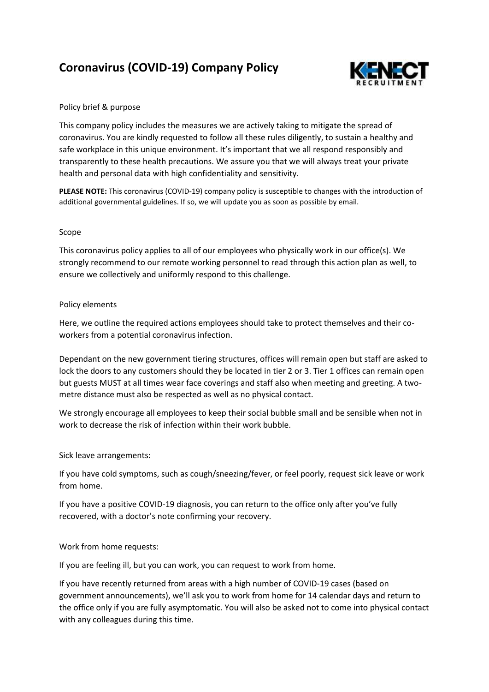# **Coronavirus (COVID-19) Company Policy**



# Policy brief & purpose

This company policy includes the measures we are actively taking to mitigate the spread of coronavirus. You are kindly requested to follow all these rules diligently, to sustain a healthy and safe workplace in this unique environment. It's important that we all respond responsibly and transparently to these health precautions. We assure you that we will always treat your private health and personal data with high confidentiality and sensitivity.

**PLEASE NOTE:** This coronavirus (COVID-19) company policy is susceptible to changes with the introduction of additional governmental guidelines. If so, we will update you as soon as possible by email.

# Scope

This coronavirus policy applies to all of our employees who physically work in our office(s). We strongly recommend to our remote working personnel to read through this action plan as well, to ensure we collectively and uniformly respond to this challenge.

# Policy elements

Here, we outline the required actions employees should take to protect themselves and their coworkers from a potential coronavirus infection.

Dependant on the new government tiering structures, offices will remain open but staff are asked to lock the doors to any customers should they be located in tier 2 or 3. Tier 1 offices can remain open but guests MUST at all times wear face coverings and staff also when meeting and greeting. A twometre distance must also be respected as well as no physical contact.

We strongly encourage all employees to keep their social bubble small and be sensible when not in work to decrease the risk of infection within their work bubble.

# Sick leave arrangements:

If you have cold symptoms, such as cough/sneezing/fever, or feel poorly, request sick leave or work from home.

If you have a positive COVID-19 diagnosis, you can return to the office only after you've fully recovered, with a doctor's note confirming your recovery.

# Work from home requests:

If you are feeling ill, but you can work, you can request to work from home.

If you have recently returned from areas with a high number of COVID-19 cases (based on government announcements), we'll ask you to work from home for 14 calendar days and return to the office only if you are fully asymptomatic. You will also be asked not to come into physical contact with any colleagues during this time.